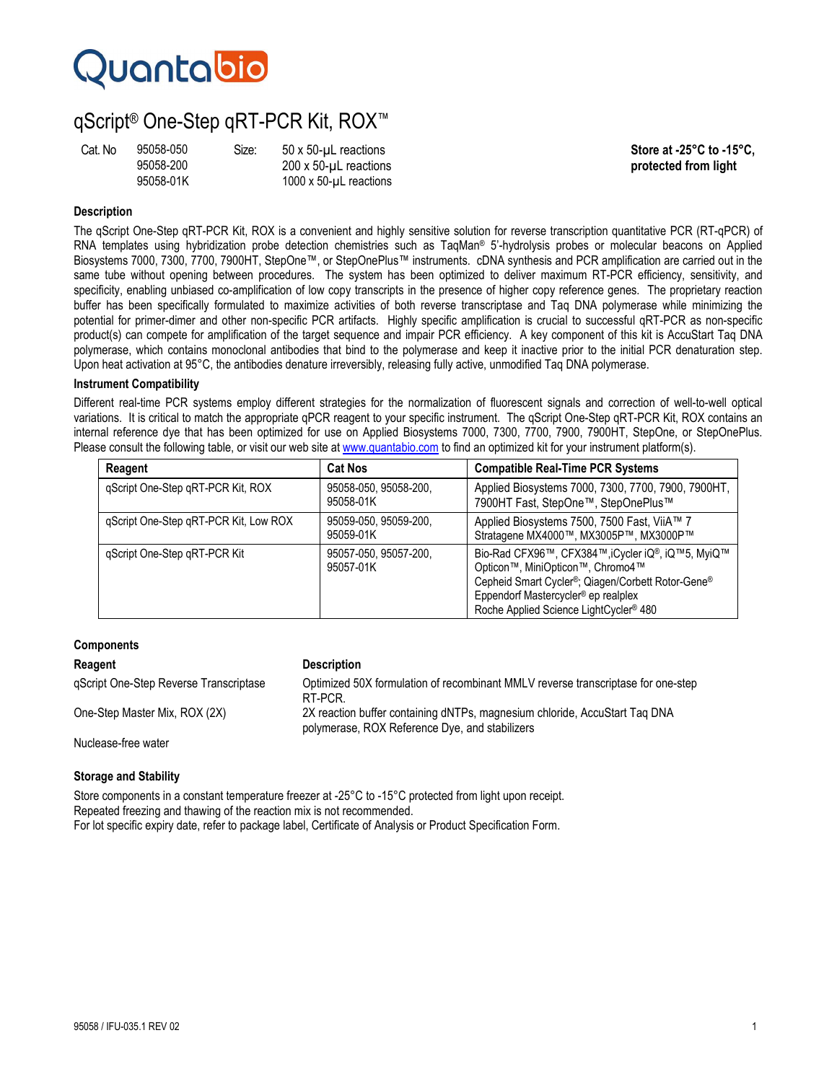# Quantabio

# qScript® One-Step qRT-PCR Kit, ROX™

| Cat. No | 9505 |
|---------|------|
|         | 9505 |
|         | 9505 |

95058-200 200 x 50-µL reactions **protected from light**  1000 x 50- $\mu$ L reactions

Cat. No 95058-050 Size: 50 x 50-µL reactions **Store at -25°C to -15°C,**

# **Description**

The qScript One-Step qRT-PCR Kit, ROX is a convenient and highly sensitive solution for reverse transcription quantitative PCR (RT-qPCR) of RNA templates using hybridization probe detection chemistries such as TaqMan® 5'-hydrolysis probes or molecular beacons on Applied Biosystems 7000, 7300, 7700, 7900HT, StepOne™, or StepOnePlus™ instruments. cDNA synthesis and PCR amplification are carried out in the same tube without opening between procedures. The system has been optimized to deliver maximum RT-PCR efficiency, sensitivity, and specificity, enabling unbiased co-amplification of low copy transcripts in the presence of higher copy reference genes. The proprietary reaction buffer has been specifically formulated to maximize activities of both reverse transcriptase and Taq DNA polymerase while minimizing the potential for primer-dimer and other non-specific PCR artifacts. Highly specific amplification is crucial to successful qRT-PCR as non-specific product(s) can compete for amplification of the target sequence and impair PCR efficiency. A key component of this kit is AccuStart Taq DNA polymerase, which contains monoclonal antibodies that bind to the polymerase and keep it inactive prior to the initial PCR denaturation step. Upon heat activation at 95°C, the antibodies denature irreversibly, releasing fully active, unmodified Taq DNA polymerase.

### **Instrument Compatibility**

Different real-time PCR systems employ different strategies for the normalization of fluorescent signals and correction of well-to-well optical variations. It is critical to match the appropriate qPCR reagent to your specific instrument. The qScript One-Step qRT-PCR Kit, ROX contains an internal reference dye that has been optimized for use on Applied Biosystems 7000, 7300, 7700, 7900, 7900HT, StepOne, or StepOnePlus. Please consult the following table, or visit our web site at www.quantabio.com to find an optimized kit for your instrument platform(s).

| Reagent                               | <b>Cat Nos</b>                     | <b>Compatible Real-Time PCR Systems</b>                                                                                                                                                                                                                                                                |
|---------------------------------------|------------------------------------|--------------------------------------------------------------------------------------------------------------------------------------------------------------------------------------------------------------------------------------------------------------------------------------------------------|
| qScript One-Step qRT-PCR Kit, ROX     | 95058-050, 95058-200,<br>95058-01K | Applied Biosystems 7000, 7300, 7700, 7900, 7900HT,<br>7900HT Fast, StepOne™, StepOnePlus™                                                                                                                                                                                                              |
| gScript One-Step gRT-PCR Kit, Low ROX | 95059-050, 95059-200,<br>95059-01K | Applied Biosystems 7500, 7500 Fast, ViiA™ 7<br>Stratagene MX4000™, MX3005P™, MX3000P™                                                                                                                                                                                                                  |
| gScript One-Step gRT-PCR Kit          | 95057-050, 95057-200.<br>95057-01K | Bio-Rad CFX96™, CFX384™, iCycler iQ®, iQ™5, MyiQ™<br>Opticon <sup>™</sup> , MiniOpticon <sup>™</sup> , Chromo4 <sup>™</sup><br>Cepheid Smart Cycler <sup>®</sup> ; Qiagen/Corbett Rotor-Gene®<br>Eppendorf Mastercycler <sup>®</sup> ep realplex<br>Roche Applied Science LightCycler <sup>®</sup> 480 |

### **Components**

# **Reagent Construction Construction Construction Description** qScript One-Step Reverse Transcriptase Optimized 50X formulation of recombinant MMLV reverse transcriptase for one-step RT-PCR. One-Step Master Mix, ROX (2X) 2X reaction buffer containing dNTPs, magnesium chloride, AccuStart Taq DNA polymerase, ROX Reference Dye, and stabilizers Nuclease-free water

### **Storage and Stability**

Store components in a constant temperature freezer at -25°C to -15°C protected from light upon receipt. Repeated freezing and thawing of the reaction mix is not recommended. For lot specific expiry date, refer to package label, Certificate of Analysis or Product Specification Form.